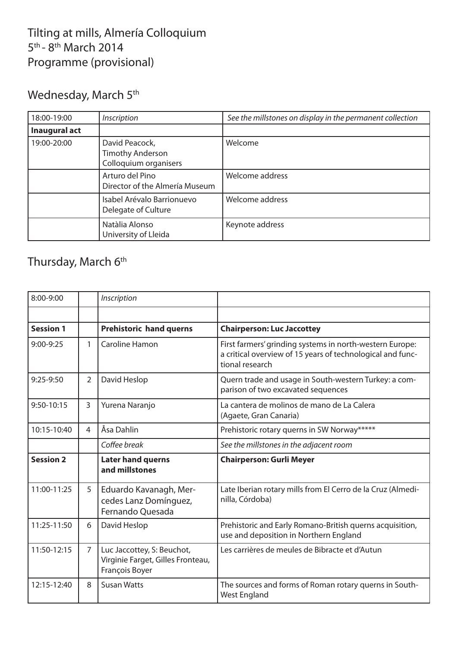## Tilting at mills, Almería Colloquium 5<sup>th</sup> - 8<sup>th</sup> March 2014 Programme (provisional)

# Wednesday, March 5<sup>th</sup>

| 18:00-19:00   | Inscription                                                        | See the millstones on display in the permanent collection |
|---------------|--------------------------------------------------------------------|-----------------------------------------------------------|
| Inaugural act |                                                                    |                                                           |
| 19:00-20:00   | David Peacock,<br><b>Timothy Anderson</b><br>Colloquium organisers | Welcome                                                   |
|               | Arturo del Pino<br>Director of the Almería Museum                  | Welcome address                                           |
|               | Isabel Arévalo Barrionuevo<br>Delegate of Culture                  | Welcome address                                           |
|               | Natàlia Alonso<br>University of Lleida                             | Keynote address                                           |

## Thursday, March 6<sup>th</sup>

| 8:00-9:00        |                | Inscription                                                                       |                                                                                                                                           |
|------------------|----------------|-----------------------------------------------------------------------------------|-------------------------------------------------------------------------------------------------------------------------------------------|
|                  |                |                                                                                   |                                                                                                                                           |
| <b>Session 1</b> |                | <b>Prehistoric hand querns</b>                                                    | <b>Chairperson: Luc Jaccottey</b>                                                                                                         |
| $9:00-9:25$      | 1              | Caroline Hamon                                                                    | First farmers' grinding systems in north-western Europe:<br>a critical overview of 15 years of technological and func-<br>tional research |
| $9:25-9:50$      | $\overline{2}$ | David Heslop                                                                      | Quern trade and usage in South-western Turkey: a com-<br>parison of two excavated sequences                                               |
| $9:50 - 10:15$   | $\overline{3}$ | Yurena Naranjo                                                                    | La cantera de molinos de mano de La Calera<br>(Agaete, Gran Canaria)                                                                      |
| 10:15-10:40      | 4              | Åsa Dahlin                                                                        | Prehistoric rotary querns in SW Norway*****                                                                                               |
|                  |                | Coffee break                                                                      | See the millstones in the adjacent room                                                                                                   |
| <b>Session 2</b> |                | <b>Later hand querns</b><br>and millstones                                        | <b>Chairperson: Gurli Meyer</b>                                                                                                           |
| 11:00-11:25      | 5              | Eduardo Kavanagh, Mer-<br>cedes Lanz Domínguez,<br>Fernando Ouesada               | Late Iberian rotary mills from El Cerro de la Cruz (Almedi-<br>nilla, Córdoba)                                                            |
| 11:25-11:50      | 6              | David Heslop                                                                      | Prehistoric and Early Romano-British querns acquisition,<br>use and deposition in Northern England                                        |
| 11:50-12:15      | $\overline{7}$ | Luc Jaccottey, S: Beuchot,<br>Virginie Farget, Gilles Fronteau,<br>François Boyer | Les carrières de meules de Bibracte et d'Autun                                                                                            |
| 12:15-12:40      | 8              | <b>Susan Watts</b>                                                                | The sources and forms of Roman rotary querns in South-<br><b>West England</b>                                                             |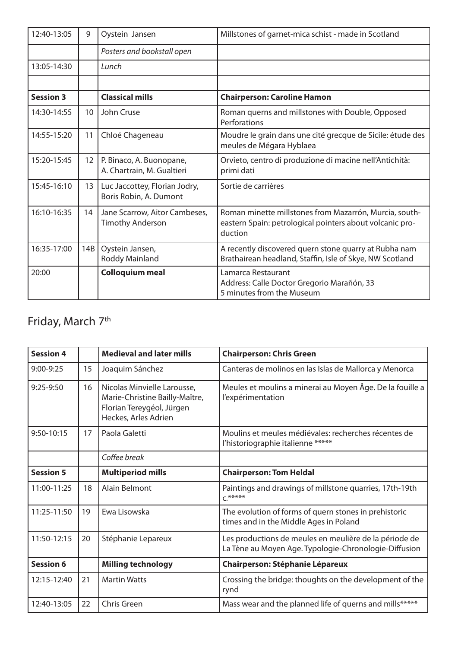| 12:40-13:05      | 9               | Oystein Jansen                                           | Millstones of garnet-mica schist - made in Scotland                                                                           |
|------------------|-----------------|----------------------------------------------------------|-------------------------------------------------------------------------------------------------------------------------------|
|                  |                 | Posters and bookstall open                               |                                                                                                                               |
| 13:05-14:30      |                 | Lunch                                                    |                                                                                                                               |
|                  |                 |                                                          |                                                                                                                               |
| <b>Session 3</b> |                 | <b>Classical mills</b>                                   | <b>Chairperson: Caroline Hamon</b>                                                                                            |
| 14:30-14:55      | 10 <sup>1</sup> | John Cruse                                               | Roman querns and millstones with Double, Opposed<br>Perforations                                                              |
| 14:55-15:20      | 11              | Chloé Chageneau                                          | Moudre le grain dans une cité grecque de Sicile: étude des<br>meules de Mégara Hyblaea                                        |
| 15:20-15:45      | 12 <sup>2</sup> | P. Binaco, A. Buonopane,<br>A. Chartrain, M. Gualtieri   | Orvieto, centro di produzione di macine nell'Antichità:<br>primi dati                                                         |
| 15:45-16:10      | 13              | Luc Jaccottey, Florian Jodry,<br>Boris Robin, A. Dumont  | Sortie de carrières                                                                                                           |
| 16:10-16:35      | 14              | Jane Scarrow, Aitor Cambeses,<br><b>Timothy Anderson</b> | Roman minette millstones from Mazarrón, Murcia, south-<br>eastern Spain: petrological pointers about volcanic pro-<br>duction |
| 16:35-17:00      | 14B             | Oystein Jansen,<br><b>Roddy Mainland</b>                 | A recently discovered quern stone quarry at Rubha nam<br>Brathairean headland, Staffin, Isle of Skye, NW Scotland             |
| 20:00            |                 | <b>Colloquium meal</b>                                   | Lamarca Restaurant<br>Address: Calle Doctor Gregorio Marañón, 33<br>5 minutes from the Museum                                 |

# Friday, March 7<sup>th</sup>

| <b>Session 4</b> |    | <b>Medieval and later mills</b>                                                                                    | <b>Chairperson: Chris Green</b>                                                                                 |
|------------------|----|--------------------------------------------------------------------------------------------------------------------|-----------------------------------------------------------------------------------------------------------------|
| $9:00 - 9:25$    | 15 | Joaquim Sánchez                                                                                                    | Canteras de molinos en las Islas de Mallorca y Menorca                                                          |
| $9:25-9:50$      | 16 | Nicolas Minvielle Larousse,<br>Marie-Christine Bailly-Maître,<br>Florian Tereygéol, Jürgen<br>Heckes, Arles Adrien | Meules et moulins a minerai au Moyen Âge. De la fouille a<br>l'expérimentation                                  |
| 9:50-10:15       | 17 | Paola Galetti                                                                                                      | Moulins et meules médiévales: recherches récentes de<br>l'historiographie italienne *****                       |
|                  |    | Coffee break                                                                                                       |                                                                                                                 |
| <b>Session 5</b> |    | <b>Multiperiod mills</b>                                                                                           | <b>Chairperson: Tom Heldal</b>                                                                                  |
| 11:00-11:25      | 18 | <b>Alain Belmont</b>                                                                                               | Paintings and drawings of millstone quarries, 17th-19th<br>$C^{****}$                                           |
| 11:25-11:50      | 19 | Ewa Lisowska                                                                                                       | The evolution of forms of quern stones in prehistoric<br>times and in the Middle Ages in Poland                 |
| 11:50-12:15      | 20 | Stéphanie Lepareux                                                                                                 | Les productions de meules en meulière de la période de<br>La Tène au Moyen Age. Typologie-Chronologie-Diffusion |
| <b>Session 6</b> |    | <b>Milling technology</b>                                                                                          | <b>Chairperson: Stéphanie Lépareux</b>                                                                          |
| 12:15-12:40      | 21 | <b>Martin Watts</b>                                                                                                | Crossing the bridge: thoughts on the development of the<br>rynd                                                 |
| 12:40-13:05      | 22 | Chris Green                                                                                                        | Mass wear and the planned life of querns and mills******                                                        |